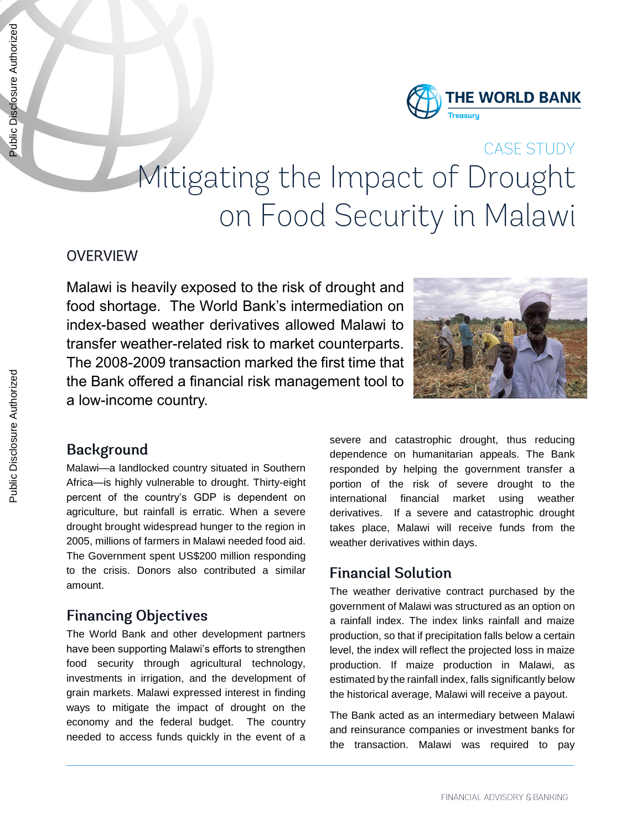

# **CASE STUDY** Mitigating the Impact of Drought on Food Security in Malawi

#### **OVERVIEW**

Malawi is heavily exposed to the risk of drought and food shortage. The World Bank's intermediation on index-based weather derivatives allowed Malawi to transfer weather-related risk to market counterparts. The 2008-2009 transaction marked the first time that the Bank offered a financial risk management tool to a low-income country.



### **Background**

Malawi—a landlocked country situated in Southern Africa—is highly vulnerable to drought. Thirty-eight percent of the country's GDP is dependent on agriculture, but rainfall is erratic. When a severe drought brought widespread hunger to the region in 2005, millions of farmers in Malawi needed food aid. The Government spent US\$200 million responding to the crisis. Donors also contributed a similar amount.

## **Financing Objectives**

The World Bank and other development partners have been supporting Malawi's efforts to strengthen food security through agricultural technology, investments in irrigation, and the development of grain markets. Malawi expressed interest in finding ways to mitigate the impact of drought on the economy and the federal budget. The country needed to access funds quickly in the event of a

severe and catastrophic drought, thus reducing dependence on humanitarian appeals. The Bank responded by helping the government transfer a portion of the risk of severe drought to the international financial market using weather derivatives. If a severe and catastrophic drought takes place, Malawi will receive funds from the weather derivatives within days.

### **Financial Solution**

The weather derivative contract purchased by the government of Malawi was structured as an option on a rainfall index. The index links rainfall and maize production, so that if precipitation falls below a certain level, the index will reflect the projected loss in maize production. If maize production in Malawi, as estimated by the rainfall index, falls significantly below the historical average, Malawi will receive a payout.

The Bank acted as an intermediary between Malawi and reinsurance companies or investment banks for the transaction. Malawi was required to pay